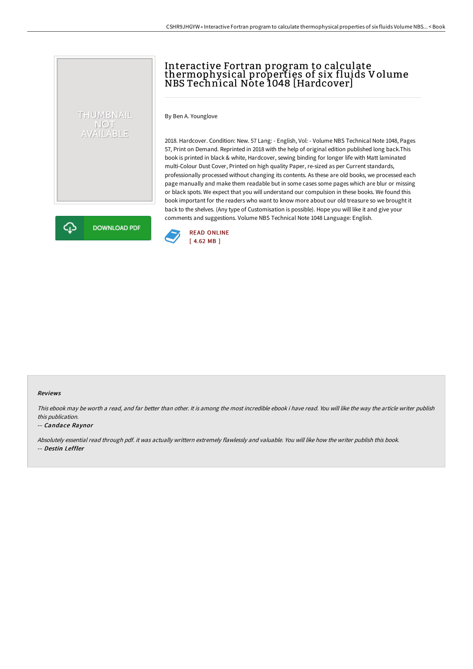## Interactive Fortran program to calculate thermophysical properties of six fluids Volume NBS Technical Note 1048 [Hardcover]

By Ben A. Younglove

THUMBNAIL NOT<br>AVAILABLE

**DOWNLOAD PDF** 

2018. Hardcover. Condition: New. 57 Lang: - English, Vol: - Volume NBS Technical Note 1048, Pages 57, Print on Demand. Reprinted in 2018 with the help of original edition published long back.This book is printed in black & white, Hardcover, sewing binding for longer life with Matt laminated multi-Colour Dust Cover, Printed on high quality Paper, re-sized as per Current standards, professionally processed without changing its contents. As these are old books, we processed each page manually and make them readable but in some cases some pages which are blur or missing or black spots. We expect that you will understand our compulsion in these books. We found this book important for the readers who want to know more about our old treasure so we brought it back to the shelves. (Any type of Customisation is possible). Hope you will like it and give your comments and suggestions. Volume NBS Technical Note 1048 Language: English.



## Reviews

This ebook may be worth <sup>a</sup> read, and far better than other. It is among the most incredible ebook i have read. You will like the way the article writer publish this publication.

## -- Candace Raynor

⊕

Absolutely essential read through pdf. it was actually writtern extremely flawlessly and valuable. You will like how the writer publish this book. -- Destin Leffler